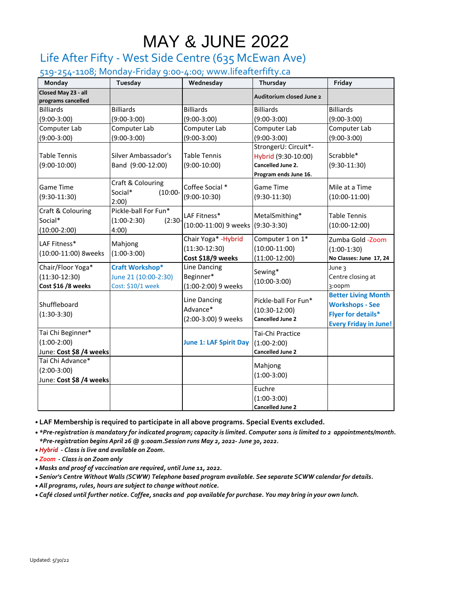# MAY & JUNE 2022

### Life After Fifty - West Side Centre (635 McEwan Ave)

519-254-1108; Monday-Friday 9:00-4:00; www.lifeafterfifty.ca

| Monday                                                        | Tuesday                                                             | Wednesday                                                    | Thursday                                                                                  | Friday                                                                                                            |
|---------------------------------------------------------------|---------------------------------------------------------------------|--------------------------------------------------------------|-------------------------------------------------------------------------------------------|-------------------------------------------------------------------------------------------------------------------|
| Closed May 23 - all<br>programs cancelled                     |                                                                     |                                                              | Auditorium closed June 2                                                                  |                                                                                                                   |
| <b>Billiards</b>                                              | <b>Billiards</b>                                                    | <b>Billiards</b>                                             | <b>Billiards</b>                                                                          | <b>Billiards</b>                                                                                                  |
| $(9:00-3:00)$                                                 | $(9:00-3:00)$                                                       | $(9:00-3:00)$                                                | $(9:00-3:00)$                                                                             | $(9:00-3:00)$                                                                                                     |
| Computer Lab                                                  | Computer Lab                                                        | Computer Lab                                                 | Computer Lab                                                                              | Computer Lab                                                                                                      |
| $(9:00-3:00)$                                                 | $(9:00-3:00)$                                                       | $(9:00-3:00)$                                                | $(9:00-3:00)$                                                                             | $(9:00-3:00)$                                                                                                     |
| <b>Table Tennis</b><br>$(9:00-10:00)$                         | Silver Ambassador's<br>Band (9:00-12:00)                            | <b>Table Tennis</b><br>$(9:00-10:00)$                        | StrongerU: Circuit*-<br>Hybrid (9:30-10:00)<br>Cancelled June 2.<br>Program ends June 16. | Scrabble*<br>$(9:30-11:30)$                                                                                       |
| Game Time<br>$(9:30-11:30)$                                   | Craft & Colouring<br>Social*<br>$(10:00 -$<br>2:00)                 | Coffee Social *<br>$(9:00-10:30)$                            | Game Time<br>$(9:30-11:30)$                                                               | Mile at a Time<br>$(10:00-11:00)$                                                                                 |
| Craft & Colouring<br>Social*<br>$(10:00-2:00)$                | Pickle-ball For Fun*<br>$(1:00-2:30)$<br>$(2:30 -$<br>4:00)         | LAF Fitness*<br>(10:00-11:00) 9 weeks (9:30-3:30)            | MetalSmithing*                                                                            | <b>Table Tennis</b><br>$(10:00-12:00)$                                                                            |
| LAF Fitness*<br>(10:00-11:00) 8weeks                          | Mahjong<br>$(1:00-3:00)$                                            | Chair Yoga* - Hybrid<br>$(11:30-12:30)$<br>Cost \$18/9 weeks | Computer 1 on 1*<br>$(10:00-11:00)$<br>$(11:00-12:00)$                                    | Zumba Gold -Zoom<br>$(1:00-1:30)$<br>No Classes: June 17, 24                                                      |
| Chair/Floor Yoga*<br>$(11:30-12:30)$<br>Cost \$16 /8 weeks    | <b>Craft Workshop*</b><br>June 21 (10:00-2:30)<br>Cost: \$10/1 week | Line Dancing<br>Beginner*<br>(1:00-2:00) 9 weeks             | Sewing*<br>$(10:00-3:00)$                                                                 | June 3<br>Centre closing at<br>3:00pm                                                                             |
| Shuffleboard<br>$(1:30-3:30)$                                 |                                                                     | Line Dancing<br>Advance*<br>(2:00-3:00) 9 weeks              | Pickle-ball For Fun*<br>$(10:30-12:00)$<br><b>Cancelled June 2</b>                        | <b>Better Living Month</b><br><b>Workshops - See</b><br><b>Flyer for details*</b><br><b>Every Friday in June!</b> |
| Tai Chi Beginner*<br>$(1:00-2:00)$<br>June: Cost \$8 /4 weeks |                                                                     | <b>June 1: LAF Spirit Day</b>                                | Tai-Chi Practice<br>$(1:00-2:00)$<br><b>Cancelled June 2</b>                              |                                                                                                                   |
| Tai Chi Advance*<br>$(2:00-3:00)$<br>June: Cost \$8 /4 weeks  |                                                                     |                                                              | Mahjong<br>$(1:00-3:00)$                                                                  |                                                                                                                   |
|                                                               |                                                                     |                                                              | Euchre<br>$(1:00-3:00)$<br><b>Cancelled June 2</b>                                        |                                                                                                                   |

• **LAF Membership is required to participate in all above programs. Special Events excluded.**

• *\*Pre-registration is mandatory for indicated program; capacity is limited. Computer 1on1 is limited to 2 appointments/month. \*Pre-registration begins April 26 @ 9:00am.Session runs May 2, 2022- June 30, 2022.*

• *Hybrid - Class is live and available on Zoom.*

• *Zoom - Class is on Zoom only*

• *Masks and proof of vaccination are required, until June 11, 2022.*

• *Senior's Centre Without Walls (SCWW) Telephone based program available. See separate SCWW calendar for details.*

• *All programs, rules, hours are subject to change without notice.*

• *Café closed until further notice. Coffee, snacks and pop available for purchase. You may bring in your own lunch.*